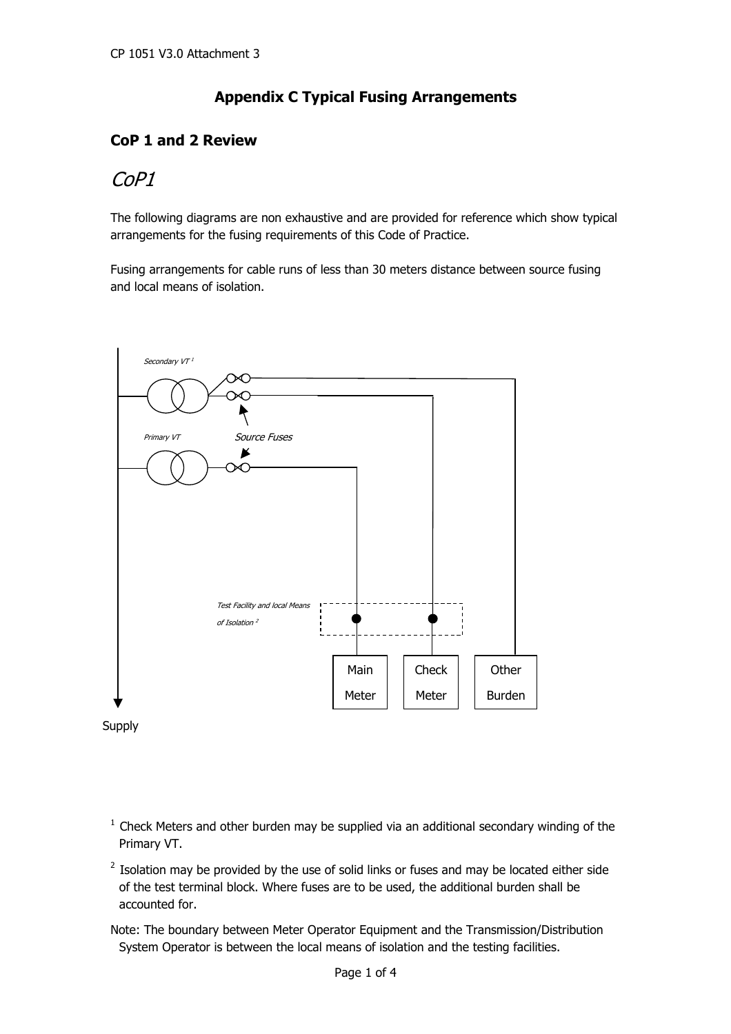## **Appendix C Typical Fusing Arrangements**

#### **CoP 1 and 2 Review**

# CoP1

The following diagrams are non exhaustive and are provided for reference which show typical arrangements for the fusing requirements of this Code of Practice.

Fusing arrangements for cable runs of less than 30 meters distance between source fusing and local means of isolation.



- $1$  Check Meters and other burden may be supplied via an additional secondary winding of the Primary VT.
	- $2$  Isolation may be provided by the use of solid links or fuses and may be located either side of the test terminal block. Where fuses are to be used, the additional burden shall be accounted for.

Note: The boundary between Meter Operator Equipment and the Transmission/Distribution System Operator is between the local means of isolation and the testing facilities.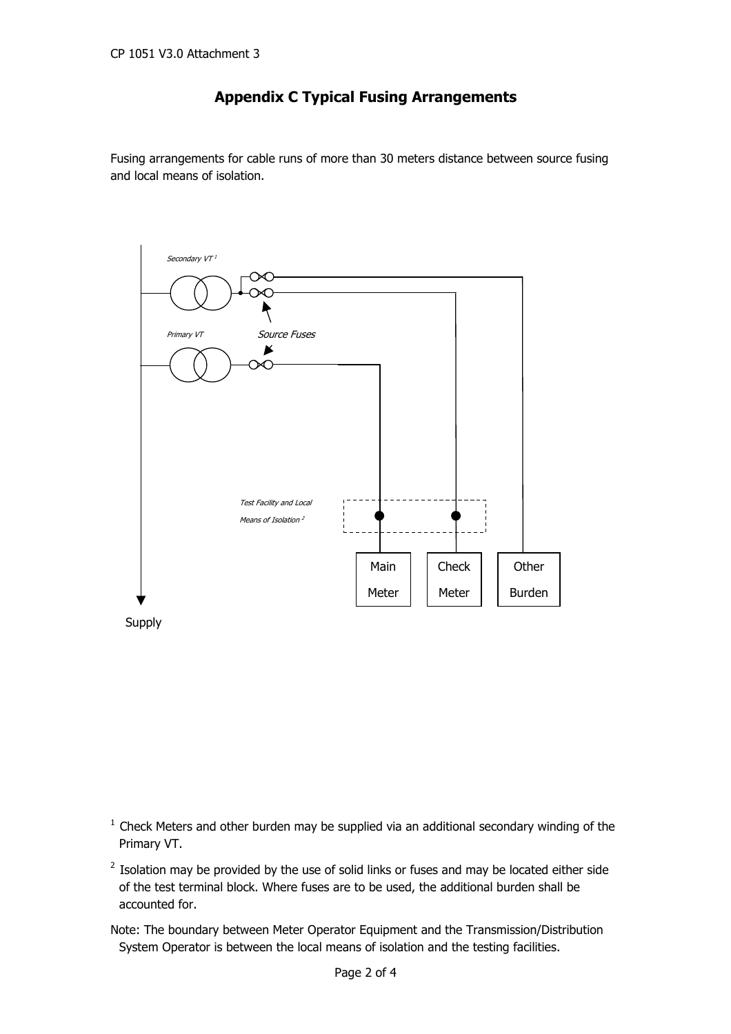### **Appendix C Typical Fusing Arrangements**

Fusing arrangements for cable runs of more than 30 meters distance between source fusing and local means of isolation.



Supply

- $1$  Check Meters and other burden may be supplied via an additional secondary winding of the Primary VT.
- $2$  Isolation may be provided by the use of solid links or fuses and may be located either side of the test terminal block. Where fuses are to be used, the additional burden shall be accounted for.
- Note: The boundary between Meter Operator Equipment and the Transmission/Distribution System Operator is between the local means of isolation and the testing facilities.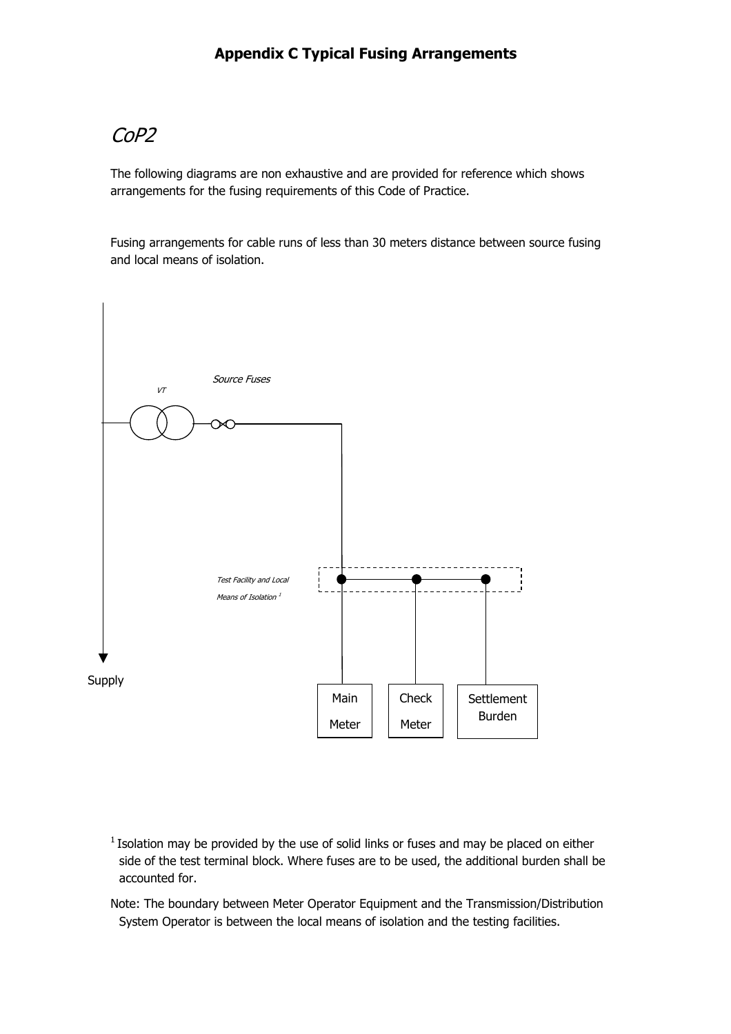# CoP2

The following diagrams are non exhaustive and are provided for reference which shows arrangements for the fusing requirements of this Code of Practice.

Fusing arrangements for cable runs of less than 30 meters distance between source fusing and local means of isolation.



 $1$  Isolation may be provided by the use of solid links or fuses and may be placed on either side of the test terminal block. Where fuses are to be used, the additional burden shall be accounted for.

Note: The boundary between Meter Operator Equipment and the Transmission/Distribution System Operator is between the local means of isolation and the testing facilities.